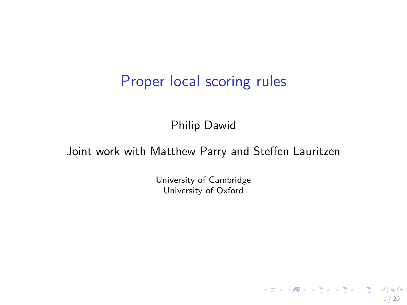## Proper local scoring rules

Philip Dawid

### Joint work with Matthew Parry and Steffen Lauritzen

University of Cambridge University of Oxford

1 / 20

K ロ ▶ K 個 ▶ K 글 ▶ K 글 ▶ │ 글 │ ◆) Q ( º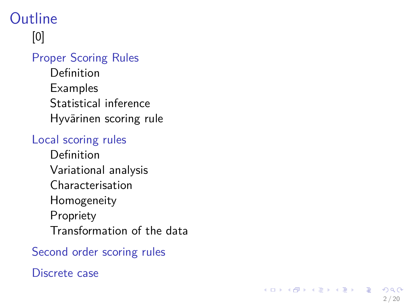# **Outline**

# [0]

### [Proper Scoring Rules](#page-2-0)

[Definition](#page-2-0) [Examples](#page-4-0) [Statistical inference](#page-5-0) [Hyvärinen scoring rule](#page-6-0)

### [Local scoring rules](#page-8-0)

[Definition](#page-8-0) [Variational analysis](#page-9-0) [Characterisation](#page-11-0) [Homogeneity](#page-13-0) [Propriety](#page-14-0) [Transformation of the data](#page-15-0)

### [Second order scoring rules](#page-16-0)

### [Discrete case](#page-17-0)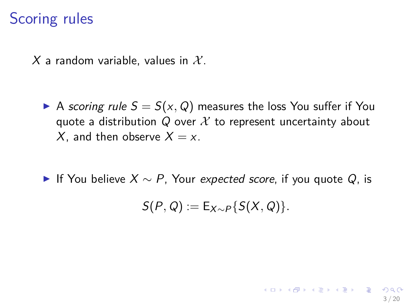## Scoring rules

X a random variable, values in  $\mathcal{X}$ .

- A scoring rule  $S = S(x, Q)$  measures the loss You suffer if You quote a distribution  $Q$  over  $X$  to represent uncertainty about X, and then observe  $X = x$ .
- **If You believe**  $X \sim P$ **, Your expected score, if you quote Q, is**

$$
S(P,Q):=E_{X\sim P}\{S(X,Q)\}.
$$

<span id="page-2-0"></span>3 / 20

イロメイ団 メイモメイモメー 毛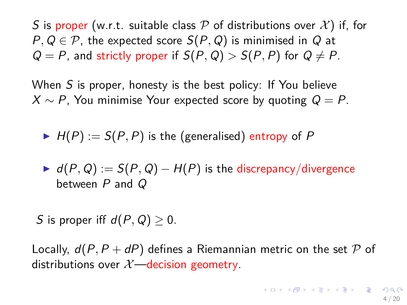S is proper (w.r.t. suitable class P of distributions over  $\mathcal{X}$ ) if, for  $P, Q \in \mathcal{P}$ , the expected score  $S(P, Q)$  is minimised in  $Q$  at  $Q = P$ , and strictly proper if  $S(P, Q) > S(P, P)$  for  $Q \neq P$ .

When S is proper, honesty is the best policy: If You believe  $X \sim P$ , You minimise Your expected score by quoting  $Q = P$ .

- $H(P) := S(P, P)$  is the (generalised) entropy of P
- $I \triangleright d(P,Q) := S(P,Q) H(P)$  is the discrepancy/divergence between P and Q

S is proper iff  $d(P, Q) > 0$ .

Locally,  $d(P, P + dP)$  defines a Riemannian metric on the set P of distributions over  $\mathcal{X}$ —decision geometry.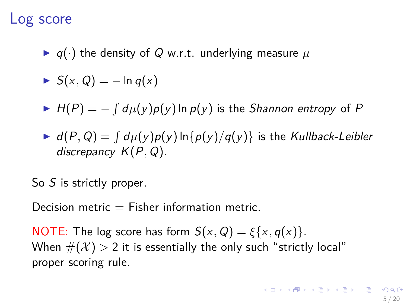### Log score

 $\blacktriangleright$  q( $\cdot$ ) the density of Q w.r.t. underlying measure  $\mu$ 

$$
\blacktriangleright S(x,Q) = -\ln q(x)
$$

- $H(P) = -\int d\mu(y)p(y)$  In  $p(y)$  is the *Shannon entropy* of P
- $\blacktriangleright$   $d(P,Q) = \int d\mu(y)p(y)\ln\{p(y)/q(y)\}$  is the Kullback-Leibler discrepancy K(P*,* Q).

So S is strictly proper.

Decision metric  $=$  Fisher information metric.

<span id="page-4-0"></span>NOTE: The log score has form  $S(x, Q) = \xi\{x, q(x)\}.$ When  $\#(\mathcal{X}) > 2$  it is essentially the only such "strictly local" proper scoring rule.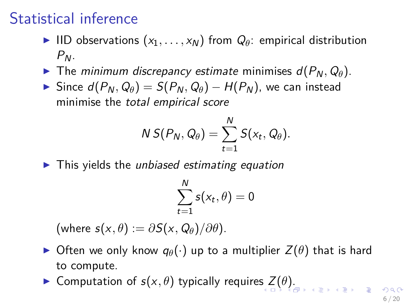# Statistical inference

- IID observations  $(x_1, \ldots, x_N)$  from  $Q_\theta$ : empirical distribution  $P_N$ .
- **I** The minimum discrepancy estimate minimises  $d(P_N, Q_\theta)$ .
- $\triangleright$  Since  $d(P_N, Q_\theta) = S(P_N, Q_\theta) H(P_N)$ , we can instead minimise the total empirical score

$$
N S(P_N,Q_\theta) = \sum_{t=1}^N S(x_t,Q_\theta).
$$

 $\blacktriangleright$  This yields the unbiased estimating equation

$$
\sum_{t=1}^N s(x_t, \theta) = 0
$$

 $(\text{where } s(x, \theta) := \partial S(x, Q_{\theta}) / \partial \theta).$ 

- $\triangleright$  Often we only know  $q_{\theta}(\cdot)$  up to a multiplier  $Z(\theta)$  that is hard to compute.
- **In Computation of**  $s(x, \theta)$  $s(x, \theta)$  $s(x, \theta)$  $s(x, \theta)$  **typically requires**  $Z(\theta)$ **[.](#page-5-0)**

<span id="page-5-0"></span>6 / 20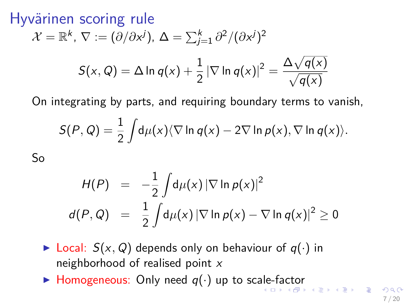Hyvärinen scoring rule

$$
\mathcal{X} = \mathbb{R}^k, \ \nabla := (\partial/\partial x^j), \ \Delta = \sum_{j=1}^k \partial^2/(\partial x^j)^2
$$

$$
S(x, Q) = \Delta \ln q(x) + \frac{1}{2} |\nabla \ln q(x)|^2 = \frac{\Delta \sqrt{q(x)}}{\sqrt{q(x)}}
$$

On integrating by parts, and requiring boundary terms to vanish,

$$
S(P,Q)=\frac{1}{2}\int d\mu(x)\langle \nabla \ln q(x)-2\nabla \ln p(x), \nabla \ln q(x)\rangle.
$$

So

$$
H(P) = -\frac{1}{2} \int d\mu(x) |\nabla \ln p(x)|^2
$$
  

$$
d(P,Q) = \frac{1}{2} \int d\mu(x) |\nabla \ln p(x) - \nabla \ln q(x)|^2 \ge 0
$$

- $\triangleright$  Local:  $S(x, Q)$  depends only on behaviour of  $q(\cdot)$  in neighborhood of realised point  $x$
- <span id="page-6-0"></span>In Homogeneous: Only need  $q(\cdot)$  $q(\cdot)$  $q(\cdot)$  up to sc[ale](#page-5-0)-[fa](#page-7-0)c[tor](#page-6-0)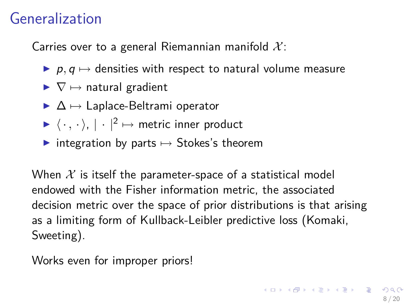# Generalization

Carries over to a general Riemannian manifold  $\mathcal{X}$ :

- $\triangleright$  p,  $q \mapsto$  densities with respect to natural volume measure
- $\blacktriangleright \nabla \mapsto$  natural gradient
- $\triangleright$   $\Delta \mapsto$  Laplace-Beltrami operator
- $\blacktriangleright \langle \cdot , \cdot \rangle$ ,  $| \cdot |^2 \mapsto$  metric inner product
- integration by parts  $\mapsto$  Stokes's theorem

When  $X$  is itself the parameter-space of a statistical model endowed with the Fisher information metric, the associated decision metric over the space of prior distributions is that arising as a limiting form of Kullback-Leibler predictive loss (Komaki, Sweeting).

<span id="page-7-0"></span>Works even for improper priors!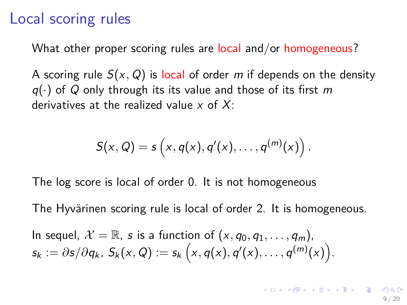### Local scoring rules

What other proper scoring rules are local and/or homogeneous?

A scoring rule  $S(x, Q)$  is local of order m if depends on the density  $q(\cdot)$  of Q only through its its value and those of its first m derivatives at the realized value  $x$  of  $X$ :

<span id="page-8-0"></span>
$$
S(x, Q) = s\left(x, q(x), q'(x), \ldots, q^{(m)}(x)\right).
$$

The log score is local of order 0. It is not homogeneous

The Hyvärinen scoring rule is local of order 2. It is homogeneous.

In sequel,  $\mathcal{X} = \mathbb{R}$ , s is a function of  $(x, q_0, q_1, \ldots, q_m)$ ,  $\mathsf{s}_k := \partial \mathsf{s}/\partial q_k, \ \mathsf{S}_k(\mathsf{x}, Q) := \mathsf{s}_k\left(\mathsf{x}, q(\mathsf{x}), q'(\mathsf{x}), \ldots, q^{(m)}(\mathsf{x})\right).$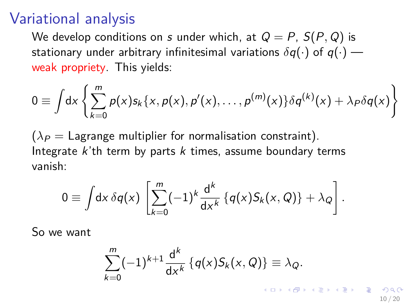## Variational analysis

We develop conditions on s under which, at  $Q = P$ ,  $S(P, Q)$  is stationary under arbitrary infinitesimal variations  $\delta q(\cdot)$  of  $q(\cdot)$  weak propriety. This yields:

$$
0 \equiv \int dx \left\{ \sum_{k=0}^{m} p(x) s_k \{x, p(x), p'(x), \ldots, p^{(m)}(x)\} \delta q^{(k)}(x) + \lambda_P \delta q(x) \right\}
$$

 $(\lambda_P =$  Lagrange multiplier for normalisation constraint). Integrate  $k$ 'th term by parts  $k$  times, assume boundary terms vanish:

$$
0 \equiv \int dx \, \delta q(x) \, \left[ \sum_{k=0}^m (-1)^k \frac{d^k}{dx^k} \left\{ q(x) S_k(x, Q) \right\} + \lambda_Q \right].
$$

So we want

$$
\sum_{k=0}^m (-1)^{k+1} \frac{d^k}{dx^k} \{q(x)S_k(x,Q)\} \equiv \lambda_Q.
$$

<span id="page-9-0"></span>10 / 20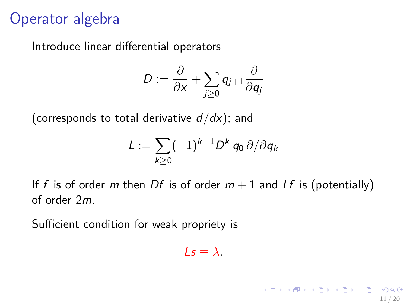## Operator algebra

Introduce linear differential operators

$$
D:=\frac{\partial}{\partial x}+\sum_{j\geq 0}q_{j+1}\frac{\partial}{\partial q_j}
$$

(corresponds to total derivative d*/*dx); and

$$
L:=\sum_{k\geq 0}(-1)^{k+1}D^k\,q_0\,\partial/\partial q_k
$$

If f is of order m then Df is of order  $m + 1$  and Lf is (potentially) of order 2m.

Sufficient condition for weak propriety is

 $\lambda = \lambda$ 

11 / 20

イロト イ団 トメ 差 トメ 差 トー 差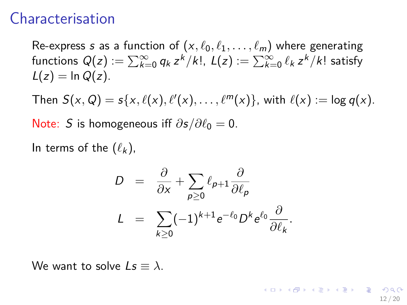## Characterisation

Re-express s as a function of  $(x, \ell_0, \ell_1, \ldots, \ell_m)$  where generating functions  $Q(z):=\sum_{k=0}^\infty q_k\,z^k/k!$ ,  $L(z):=\sum_{k=0}^\infty \ell_k\,z^k/k!$  satisfy  $L(z) = \ln Q(z)$ .

Then  $S(x, Q) = s\{x, \ell(x), \ell'(x), \ldots, \ell^m(x)\}$ , with  $\ell(x) := \log q(x)$ . Note: S is homogeneous iff  $\partial$ s/ $\partial \ell_0 = 0$ .

In terms of the  $(\ell_k)$ ,

<span id="page-11-0"></span>
$$
D = \frac{\partial}{\partial x} + \sum_{\rho \ge 0} \ell_{\rho+1} \frac{\partial}{\partial \ell_{\rho}}
$$
  

$$
L = \sum_{k \ge 0} (-1)^{k+1} e^{-\ell_0} D^k e^{\ell_0} \frac{\partial}{\partial \ell_k}.
$$

We want to solve  $Is \equiv \lambda$ .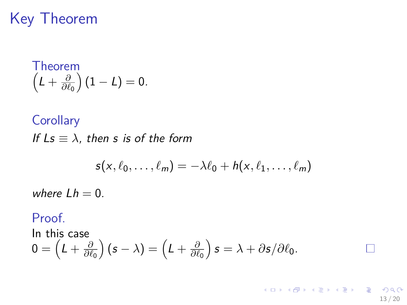# Key Theorem

Theorem  
\n
$$
\left(L+\frac{\partial}{\partial \ell_0}\right)(1-L)=0.
$$

**Corollary** If  $Ls \equiv \lambda$ , then s is of the form

$$
s(x, \ell_0, \ldots, \ell_m) = -\lambda \ell_0 + h(x, \ell_1, \ldots, \ell_m)
$$

13 / 20

K ロ > K @ > K 경 > K 경 > 시 경

where  $Lh = 0$ .

#### Proof.

In this case  $0 = \left(L + \frac{\partial}{\partial \ell}\right)$ *∂`*<sup>0</sup>  $\int (s - \lambda) = \left( L + \frac{\partial}{\partial \ell} \right)$ *∂`*<sup>0</sup>  $\int$ *s* =  $\lambda + \partial$ *s* $/\partial \ell_0$ .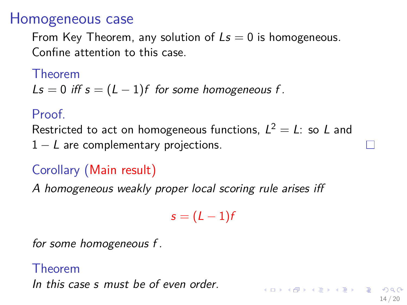## Homogeneous case

From Key Theorem, any solution of  $Ls = 0$  is homogeneous. Confine attention to this case.

Theorem

$$
LS = 0
$$
 iff  $s = (L - 1)f$  for some homogeneous f.

### Proof.

Restricted to act on homogeneous functions,  $L^2 = L$ : so L and  $1 - L$  are complementary projections.

# Corollary (Main result)

A homogeneous weakly proper local scoring rule arises iff

 $s = (L - 1)f$ 

<span id="page-13-0"></span>14 / 20

メロトメ 御 トメ 差 トメ 差 トー 差

for some homogeneous f .

### Theorem In this case s must be of even order.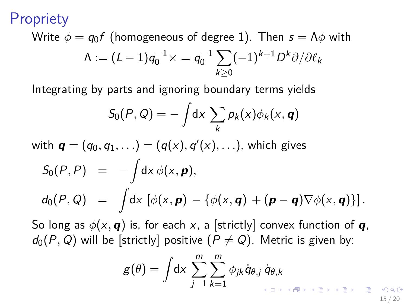**Propriety** 

Write 
$$
\phi = q_0 f
$$
 (homogeneous of degree 1). Then  $s = \Lambda \phi$  with  
\n
$$
\Lambda := (L - 1)q_0^{-1} \times = q_0^{-1} \sum_{k \ge 0} (-1)^{k+1} D^k \partial / \partial \ell_k
$$

Integrating by parts and ignoring boundary terms yields

$$
S_0(P, Q) = -\int dx \sum_k p_k(x) \phi_k(x, \mathbf{q})
$$
  
with  $\mathbf{q} = (q_0, q_1, \ldots) = (q(x), q'(x), \ldots)$ , which gives  

$$
S_0(P, P) = -\int dx \phi(x, \mathbf{p}),
$$

$$
d_0(P, Q) = \int dx \left[ \phi(x, \mathbf{p}) - \{\phi(x, \mathbf{q}) + (\mathbf{p} - \mathbf{q}) \nabla \phi(x, \mathbf{q})\}\right].
$$

So long as  $\phi(x, \mathbf{q})$  is, for each x, a [strictly] convex function of  $\mathbf{q}$ ,  $d_0(P,Q)$  will be [strictly] positive  $(P \neq Q)$ . Metric is given by:

<span id="page-14-0"></span>
$$
g(\theta) = \int dx \sum_{j=1}^{m} \sum_{k=1}^{m} \phi_{jk} \dot{q}_{\theta,j} \dot{q}_{\theta,k}
$$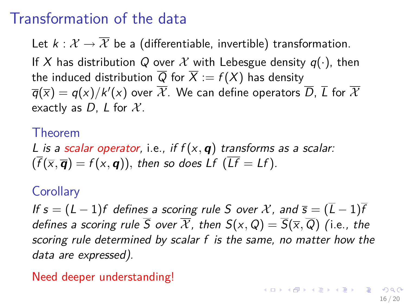# Transformation of the data

Let  $k : \mathcal{X} \to \overline{\mathcal{X}}$  be a (differentiable, invertible) transformation. If X has distribution Q over X with Lebesgue density  $q(\cdot)$ , then the induced distribution  $\overline{Q}$  for  $\overline{X} := f(X)$  has density  $\overline{q}(\overline{\mathsf{x}}) = q(\mathsf{x})/k'(\mathsf{x})$  over  $\overline{\mathcal{X}}$ . We can define operators  $\overline{D}$ ,  $\overline{L}$  for  $\overline{\mathcal{X}}$ exactly as D, L for  $X$ .

### Theorem

L is a scalar operator, i.e., if  $f(x, q)$  transforms as a scalar:  $(\overline{f}(\overline{x}, \overline{\mathbf{q}}) = f(x, \mathbf{q}))$ , then so does Lf  $(\overline{Lf} = Lf)$ .

### **Corollary**

If  $s = (L - 1)f$  defines a scoring rule S over X, and  $\overline{s} = (\overline{L} - 1)\overline{f}$ defines a scoring rule  $\overline{S}$  over  $\overline{\mathcal{X}}$ , then  $S(x, Q) = \overline{S}(\overline{x}, \overline{Q})$  (i.e., the scoring rule determined by scalar f is the same, no matter how the data are expressed).

<span id="page-15-0"></span>Need deeper understanding!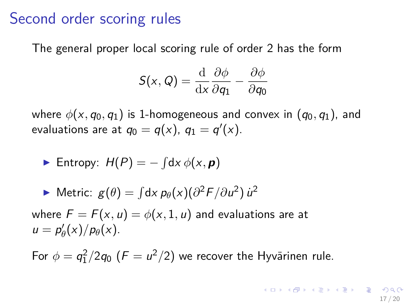## Second order scoring rules

The general proper local scoring rule of order 2 has the form

<span id="page-16-0"></span>
$$
S(x, Q) = \frac{\mathrm{d}}{\mathrm{d}x} \frac{\partial \phi}{\partial q_1} - \frac{\partial \phi}{\partial q_0}
$$

where  $\phi(x, q_0, q_1)$  is 1-homogeneous and convex in  $(q_0, q_1)$ , and evaluations are at  $q_0 = q(x)$ ,  $q_1 = q'(x)$ .

• Entropy: 
$$
H(P) = -\int dx \phi(x, \boldsymbol{p})
$$

• Metric: 
$$
g(\theta) = \int dx \, p_{\theta}(x) (\partial^2 F / \partial u^2) \, u^2
$$

where  $F = F(x, u) = \phi(x, 1, u)$  and evaluations are at  $u = p'_\theta(x)/p_\theta(x)$ .

For  $\phi = \frac{q_1^2}{2q_0}$   $(F = \frac{u^2}{2})$  we recover the Hyvärinen rule.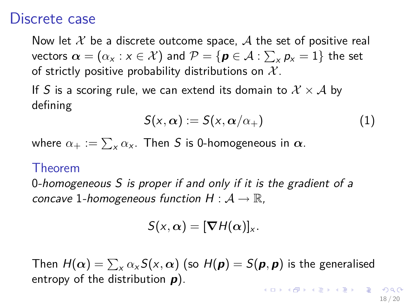### Discrete case

Now let X be a discrete outcome space, A the set of positive real vectors  $\bm{\alpha} = (\alpha_{\mathsf{x}}: \mathsf{x} \in \mathcal{X})$  and  $\mathcal{P} = \{\bm{p} \in \mathcal{A}: \sum_{\mathsf{x}} p_{\mathsf{x}} = 1\}$  the set of strictly positive probability distributions on  $X$ .

If S is a scoring rule, we can extend its domain to  $\mathcal{X} \times \mathcal{A}$  by defining

$$
S(x,\alpha) := S(x,\alpha/\alpha_+) \tag{1}
$$

where  $\alpha_+:=\sum_\mathsf{x}\alpha_\mathsf{x}.$  Then  $\mathsf S$  is 0-homogeneous in  $\bm\alpha.$ 

#### Theorem

0-homogeneous S is proper if and only if it is the gradient of a concave 1-homogeneous function  $H : \mathcal{A} \to \mathbb{R}$ ,

$$
S(x,\alpha)=[\boldsymbol{\nabla} H(\alpha)]_x.
$$

Then  $H(\bm{\alpha}) = \sum_\mathsf{x} \alpha_\mathsf{x} \mathcal{S}(\mathsf{x}, \bm{\alpha})$  (so  $H(\bm{p}) = \mathcal{S}(\bm{p}, \bm{p})$  is the generalised entropy of the distribution **p**). **KORKARYKERKER ORA** 

<span id="page-17-0"></span>18 / 20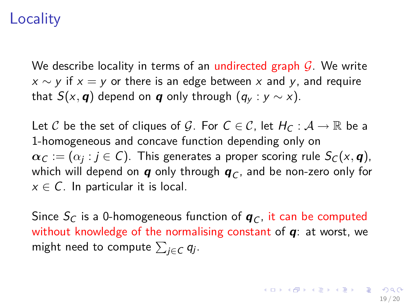## **Locality**

We describe locality in terms of an undirected graph  $\mathcal{G}$ . We write  $x \sim y$  if  $x = y$  or there is an edge between x and y, and require that  $S(x, q)$  depend on **q** only through  $(q_v : y \sim x)$ .

Let C be the set of cliques of G. For  $C \in \mathcal{C}$ , let  $H_C : \mathcal{A} \to \mathbb{R}$  be a 1-homogeneous and concave function depending only on  $\boldsymbol{\alpha}_\mathcal{C} := (\alpha_j : j \in \mathcal{C})$ . This generates a proper scoring rule  $\mathcal{S}_\mathcal{C}(x,\boldsymbol{q})$ , which will depend on **q** only through  $q_C$ , and be non-zero only for  $x \in \mathcal{C}$ . In particular it is local.

Since  $S_C$  is a 0-homogeneous function of  $q_C$ , it can be computed without knowledge of the normalising constant of **q**: at worst, we might need to compute  $\sum_{j\in \mathcal{C}} q_j.$